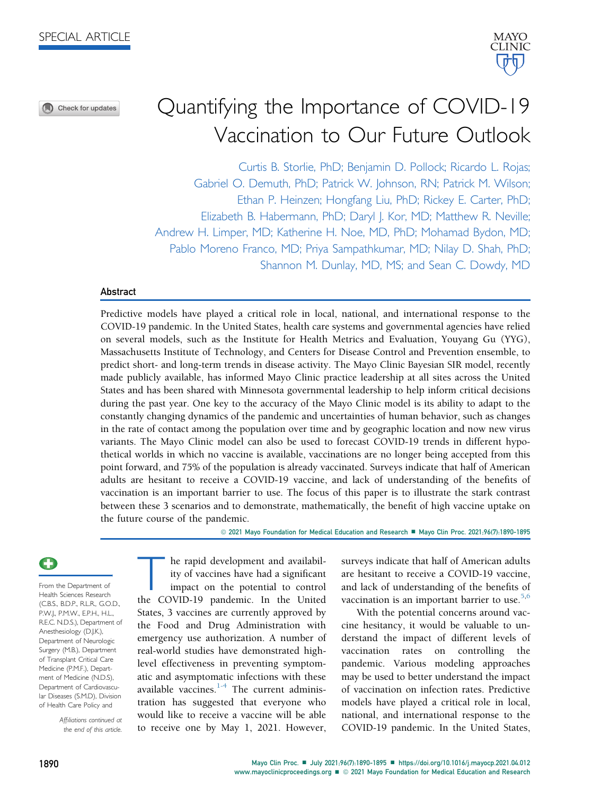⋒ Check for updates



# Quantifying the Importance of COVID-19 Vaccination to Our Future Outlook

Curtis B. Storlie, PhD; Benjamin D. Pollock; Ricardo L. Rojas; Gabriel O. Demuth, PhD; Patrick W. Johnson, RN; Patrick M. Wilson; Ethan P. Heinzen; Hongfang Liu, PhD; Rickey E. Carter, PhD; Elizabeth B. Habermann, PhD; Daryl J. Kor, MD; Matthew R. Neville; Andrew H. Limper, MD; Katherine H. Noe, MD, PhD; Mohamad Bydon, MD; Pablo Moreno Franco, MD; Priya Sampathkumar, MD; Nilay D. Shah, PhD; Shannon M. Dunlay, MD, MS; and Sean C. Dowdy, MD

## Abstract

Predictive models have played a critical role in local, national, and international response to the COVID-19 pandemic. In the United States, health care systems and governmental agencies have relied on several models, such as the Institute for Health Metrics and Evaluation, Youyang Gu (YYG), Massachusetts Institute of Technology, and Centers for Disease Control and Prevention ensemble, to predict short- and long-term trends in disease activity. The Mayo Clinic Bayesian SIR model, recently made publicly available, has informed Mayo Clinic practice leadership at all sites across the United States and has been shared with Minnesota governmental leadership to help inform critical decisions during the past year. One key to the accuracy of the Mayo Clinic model is its ability to adapt to the constantly changing dynamics of the pandemic and uncertainties of human behavior, such as changes in the rate of contact among the population over time and by geographic location and now new virus variants. The Mayo Clinic model can also be used to forecast COVID-19 trends in different hypothetical worlds in which no vaccine is available, vaccinations are no longer being accepted from this point forward, and 75% of the population is already vaccinated. Surveys indicate that half of American adults are hesitant to receive a COVID-19 vaccine, and lack of understanding of the benefits of vaccination is an important barrier to use. The focus of this paper is to illustrate the stark contrast between these 3 scenarios and to demonstrate, mathematically, the benefit of high vaccine uptake on the future course of the pandemic.

© 2021 Mayo Foundation for Medical Education and Research ■ Mayo Clin Proc. 2021;96(7):1890-1895

From the Department of Health Sciences Research (C.B.S., B.D.P., R.L.R., G.O.D., P.W.J., P.M.W., E.P.H., H.L., R.E.C. N.D.S.), Department of Anesthesiology (D.J.K.), Department of Neurologic Surgery (M.B.), Department of Transplant Critical Care Medicine (P.M.F.), Department of Medicine (N.D.S), Department of Cardiovascular Diseases (S.M.D), Division of Health Care Policy and

> Affiliations continued at the end of this article.

The rapid development and availability of vaccines have had a significant<br>impact on the potential to control<br>the COVID-19 pandemic. In the United ity of vaccines have had a significant impact on the potential to control the COVID-19 pandemic. In the United States, 3 vaccines are currently approved by the Food and Drug Administration with emergency use authorization. A number of real-world studies have demonstrated highlevel effectiveness in preventing symptomatic and asymptomatic infections with these available vaccines. $1-4$  The current administration has suggested that everyone who would like to receive a vaccine will be able to receive one by May 1, 2021. However,

surveys indicate that half of American adults are hesitant to receive a COVID-19 vaccine, and lack of understanding of the benefits of vaccination is an important barrier to use.<sup>[5,](#page-5-1)[6](#page-5-2)</sup>

With the potential concerns around vaccine hesitancy, it would be valuable to understand the impact of different levels of vaccination rates on controlling the pandemic. Various modeling approaches may be used to better understand the impact of vaccination on infection rates. Predictive models have played a critical role in local, national, and international response to the COVID-19 pandemic. In the United States,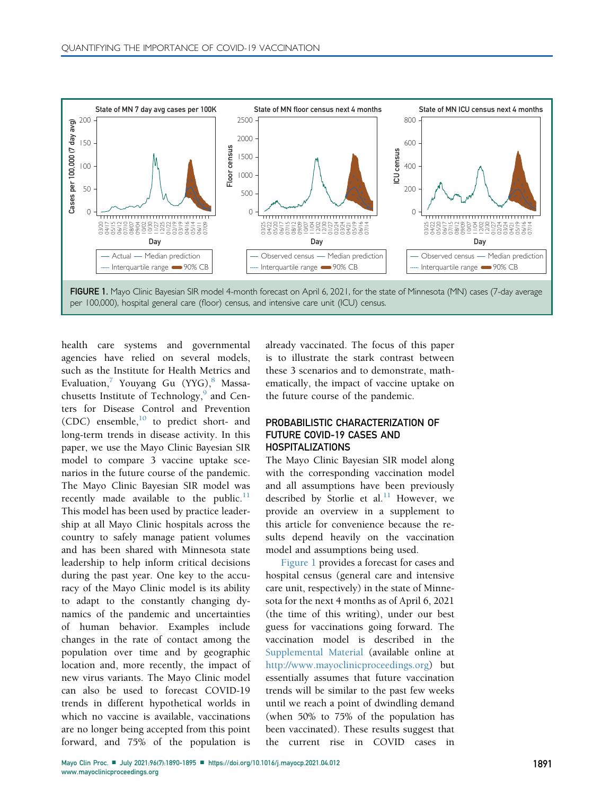<span id="page-1-0"></span>

health care systems and governmental agencies have relied on several models, such as the Institute for Health Metrics and Evaluation, $\frac{7}{1}$  $\frac{7}{1}$  $\frac{7}{1}$  Youyang Gu (YYG), $\frac{8}{1}$  $\frac{8}{1}$  $\frac{8}{1}$  Massa-chusetts Institute of Technology,<sup>[9](#page-5-5)</sup> and Centers for Disease Control and Prevention (CDC) ensemble, $^{10}$  $^{10}$  $^{10}$  to predict short- and long-term trends in disease activity. In this paper, we use the Mayo Clinic Bayesian SIR model to compare 3 vaccine uptake scenarios in the future course of the pandemic. The Mayo Clinic Bayesian SIR model was recently made available to the public. $<sup>11</sup>$  $<sup>11</sup>$  $<sup>11</sup>$ </sup> This model has been used by practice leadership at all Mayo Clinic hospitals across the country to safely manage patient volumes and has been shared with Minnesota state leadership to help inform critical decisions during the past year. One key to the accuracy of the Mayo Clinic model is its ability to adapt to the constantly changing dynamics of the pandemic and uncertainties of human behavior. Examples include changes in the rate of contact among the population over time and by geographic location and, more recently, the impact of new virus variants. The Mayo Clinic model can also be used to forecast COVID-19 trends in different hypothetical worlds in which no vaccine is available, vaccinations are no longer being accepted from this point forward, and 75% of the population is

already vaccinated. The focus of this paper is to illustrate the stark contrast between these 3 scenarios and to demonstrate, mathematically, the impact of vaccine uptake on the future course of the pandemic.

# PROBABILISTIC CHARACTERIZATION OF FUTURE COVID-19 CASES AND HOSPITALIZATIONS

The Mayo Clinic Bayesian SIR model along with the corresponding vaccination model and all assumptions have been previously described by Storlie et al.<sup>[11](#page-5-7)</sup> However, we provide an overview in a supplement to this article for convenience because the results depend heavily on the vaccination model and assumptions being used.

[Figure 1](#page-1-0) provides a forecast for cases and hospital census (general care and intensive care unit, respectively) in the state of Minnesota for the next 4 months as of April 6, 2021 (the time of this writing), under our best guess for vaccinations going forward. The vaccination model is described in the Supplemental Material (available online at <http://www.mayoclinicproceedings.org>) but essentially assumes that future vaccination trends will be similar to the past few weeks until we reach a point of dwindling demand (when 50% to 75% of the population has been vaccinated). These results suggest that the current rise in COVID cases in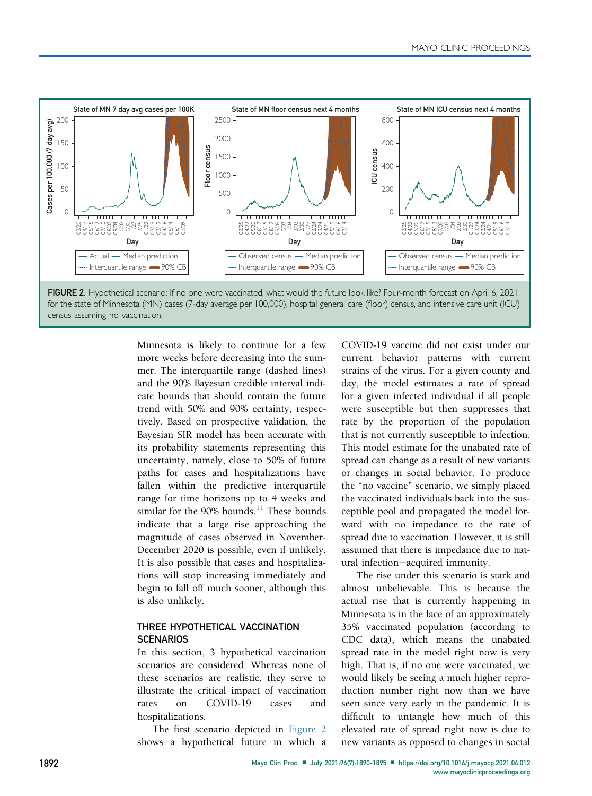<span id="page-2-0"></span>

Minnesota is likely to continue for a few more weeks before decreasing into the summer. The interquartile range (dashed lines) and the 90% Bayesian credible interval indicate bounds that should contain the future trend with 50% and 90% certainty, respectively. Based on prospective validation, the Bayesian SIR model has been accurate with its probability statements representing this uncertainty, namely, close to 50% of future paths for cases and hospitalizations have fallen within the predictive interquartile range for time horizons up to 4 weeks and similar for the 90% bounds.<sup>[11](#page-5-7)</sup> These bounds indicate that a large rise approaching the magnitude of cases observed in November-December 2020 is possible, even if unlikely. It is also possible that cases and hospitalizations will stop increasing immediately and begin to fall off much sooner, although this is also unlikely.

# THREE HYPOTHETICAL VACCINATION **SCENARIOS**

In this section, 3 hypothetical vaccination scenarios are considered. Whereas none of these scenarios are realistic, they serve to illustrate the critical impact of vaccination rates on COVID-19 cases and hospitalizations.

The first scenario depicted in [Figure 2](#page-2-0) shows a hypothetical future in which a

COVID-19 vaccine did not exist under our current behavior patterns with current strains of the virus. For a given county and day, the model estimates a rate of spread for a given infected individual if all people were susceptible but then suppresses that rate by the proportion of the population that is not currently susceptible to infection. This model estimate for the unabated rate of spread can change as a result of new variants or changes in social behavior. To produce the "no vaccine" scenario, we simply placed the vaccinated individuals back into the susceptible pool and propagated the model forward with no impedance to the rate of spread due to vaccination. However, it is still assumed that there is impedance due to natural infection-acquired immunity.

The rise under this scenario is stark and almost unbelievable. This is because the actual rise that is currently happening in Minnesota is in the face of an approximately 35% vaccinated population (according to CDC data), which means the unabated spread rate in the model right now is very high. That is, if no one were vaccinated, we would likely be seeing a much higher reproduction number right now than we have seen since very early in the pandemic. It is difficult to untangle how much of this elevated rate of spread right now is due to new variants as opposed to changes in social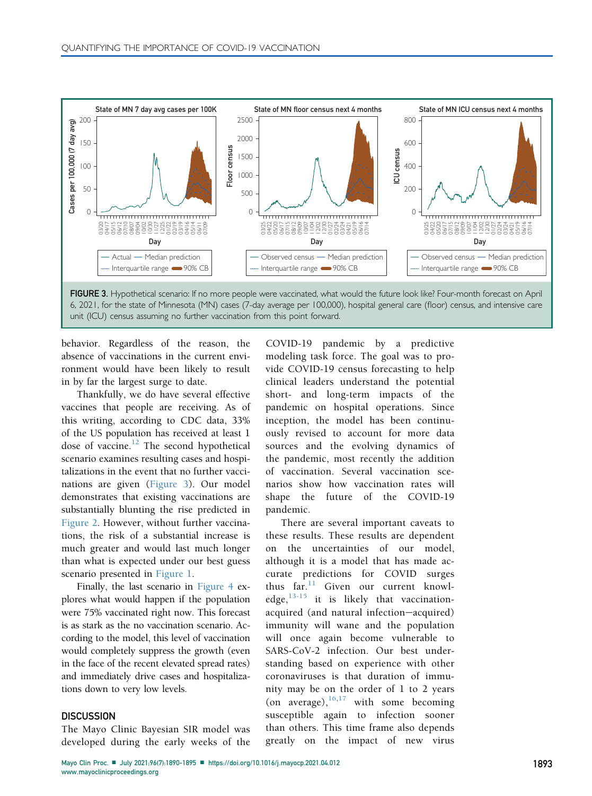<span id="page-3-0"></span>

6, 2021, for the state of Minnesota (MN) cases (7-day average per 100,000), hospital general care (floor) census, and intensive care unit (ICU) census assuming no further vaccination from this point forward.

behavior. Regardless of the reason, the absence of vaccinations in the current environment would have been likely to result in by far the largest surge to date.

Thankfully, we do have several effective vaccines that people are receiving. As of this writing, according to CDC data, 33% of the US population has received at least 1 dose of vaccine. $12$  The second hypothetical scenario examines resulting cases and hospitalizations in the event that no further vaccinations are given ([Figure 3](#page-3-0)). Our model demonstrates that existing vaccinations are substantially blunting the rise predicted in [Figure 2.](#page-2-0) However, without further vaccinations, the risk of a substantial increase is much greater and would last much longer than what is expected under our best guess scenario presented in [Figure 1.](#page-1-0)

Finally, the last scenario in [Figure 4](#page-4-0) explores what would happen if the population were 75% vaccinated right now. This forecast is as stark as the no vaccination scenario. According to the model, this level of vaccination would completely suppress the growth (even in the face of the recent elevated spread rates) and immediately drive cases and hospitalizations down to very low levels.

# **DISCUSSION**

The Mayo Clinic Bayesian SIR model was developed during the early weeks of the COVID-19 pandemic by a predictive modeling task force. The goal was to provide COVID-19 census forecasting to help clinical leaders understand the potential short- and long-term impacts of the pandemic on hospital operations. Since inception, the model has been continuously revised to account for more data sources and the evolving dynamics of the pandemic, most recently the addition of vaccination. Several vaccination scenarios show how vaccination rates will shape the future of the COVID-19 pandemic.

There are several important caveats to these results. These results are dependent on the uncertainties of our model, although it is a model that has made accurate predictions for COVID surges thus far.<sup>[11](#page-5-7)</sup> Given our current knowledge, $13-15$  it is likely that vaccinationacquired (and natural infection-acquired) immunity will wane and the population will once again become vulnerable to SARS-CoV-2 infection. Our best understanding based on experience with other coronaviruses is that duration of immunity may be on the order of 1 to 2 years (on average),  $16,17$  $16,17$  with some becoming susceptible again to infection sooner than others. This time frame also depends greatly on the impact of new virus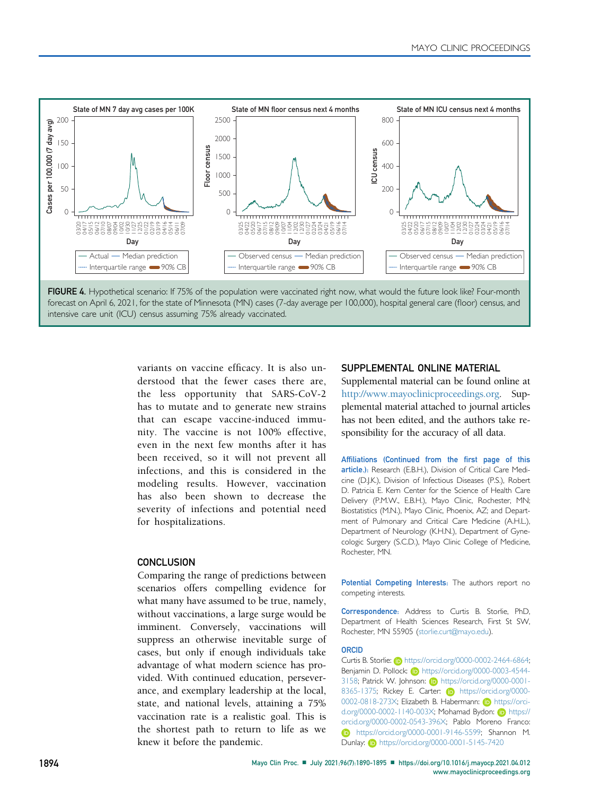<span id="page-4-0"></span>

intensive care unit (ICU) census assuming 75% already vaccinated.

variants on vaccine efficacy. It is also understood that the fewer cases there are, the less opportunity that SARS-CoV-2 has to mutate and to generate new strains that can escape vaccine-induced immunity. The vaccine is not 100% effective, even in the next few months after it has been received, so it will not prevent all infections, and this is considered in the modeling results. However, vaccination has also been shown to decrease the severity of infections and potential need for hospitalizations.

# **CONCLUSION**

Comparing the range of predictions between scenarios offers compelling evidence for what many have assumed to be true, namely, without vaccinations, a large surge would be imminent. Conversely, vaccinations will suppress an otherwise inevitable surge of cases, but only if enough individuals take advantage of what modern science has provided. With continued education, perseverance, and exemplary leadership at the local, state, and national levels, attaining a 75% vaccination rate is a realistic goal. This is the shortest path to return to life as we knew it before the pandemic.

#### SUPPLEMENTAL ONLINE MATERIAL

Supplemental material can be found online at <http://www.mayoclinicproceedings.org>. Supplemental material attached to journal articles has not been edited, and the authors take responsibility for the accuracy of all data.

Affiliations (Continued from the first page of this article.): Research (E.B.H.), Division of Critical Care Medicine (D.J.K.), Division of Infectious Diseases (P.S.), Robert D. Patricia E. Kern Center for the Science of Health Care Delivery (P.M.W., E.B.H.), Mayo Clinic, Rochester, MN; Biostatistics (M.N.), Mayo Clinic, Phoenix, AZ; and Department of Pulmonary and Critical Care Medicine (A.H.L.), Department of Neurology (K.H.N.), Department of Gynecologic Surgery (S.C.D.), Mayo Clinic College of Medicine, Rochester, MN.

Potential Competing Interests: The authors report no competing interests.

Correspondence: Address to Curtis B. Storlie, PhD, Department of Health Sciences Research, First St SW, Rochester, MN 55905 ([storlie.curt@mayo.edu\)](mailto:storlie.curt@mayo.edu).

#### **ORCID**

Curtis B. Storlie: **b** [https://orcid.org/0000-0002-2464-6864;](https://orcid.org/0000-0002-2464-6864) [Benjamin D. Pollock:](https://orcid.org/0000-0002-2464-6864) iD [https://orcid.org/0000-0003-4544-](https://orcid.org/0000-0003-4544-3158) [3158; Patrick W. Johnson:](https://orcid.org/0000-0003-4544-3158) D[https://orcid.org/0000-0001-](https://orcid.org/0000-0001-8365-1375) [8365-1375; Rickey E. Carter:](https://orcid.org/0000-0001-8365-1375) iD [https://orcid.org/0000-](https://orcid.org/0000-0002-0818-273X) [0002-0818-273X; Elizabeth B. Habermann:](https://orcid.org/0000-0002-0818-273X) D[https://orci](https://orcid.org/0000-0002-1140-003X)[d.org/0000-0002-1140-003X; Mohamad Bydon:](https://orcid.org/0000-0002-1140-003X) D[https://](https://orcid.org/0000-0002-0543-396X) [orcid.org/0000-0002-0543-396X; Pablo Moreno Franco:](https://orcid.org/0000-0002-0543-396X) [https://orcid.org/0000-0001-9146-5599; Shannon M.](https://orcid.org/0000-0001-9146-5599) [Dunlay:](https://orcid.org/0000-0001-9146-5599) **b** <https://orcid.org/0000-0001-5145-7420>